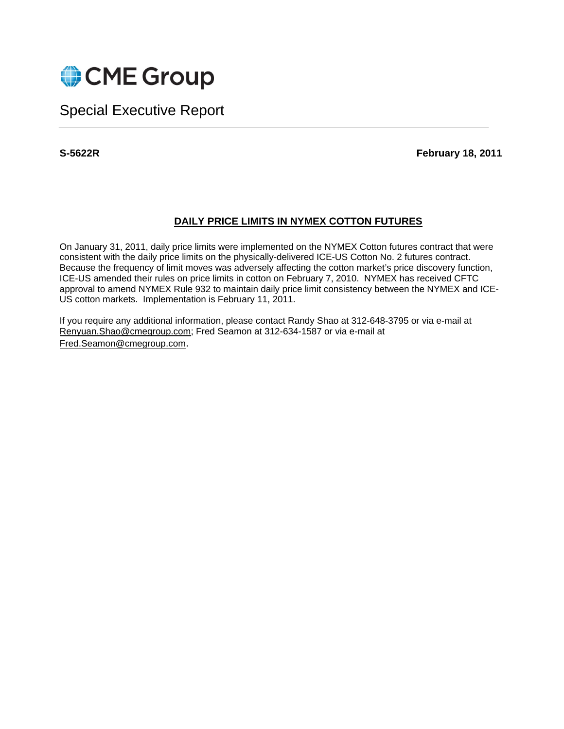

# Special Executive Report

**S-5622R February 18, 2011** 

## **DAILY PRICE LIMITS IN NYMEX COTTON FUTURES**

On January 31, 2011, daily price limits were implemented on the NYMEX Cotton futures contract that were consistent with the daily price limits on the physically-delivered ICE-US Cotton No. 2 futures contract. Because the frequency of limit moves was adversely affecting the cotton market's price discovery function, ICE-US amended their rules on price limits in cotton on February 7, 2010. NYMEX has received CFTC approval to amend NYMEX Rule 932 to maintain daily price limit consistency between the NYMEX and ICE-US cotton markets. Implementation is February 11, 2011.

If you require any additional information, please contact Randy Shao at 312-648-3795 or via e-mail at Renyuan.Shao@cmegroup.com; Fred Seamon at 312-634-1587 or via e-mail at Fred.Seamon@cmegroup.com.